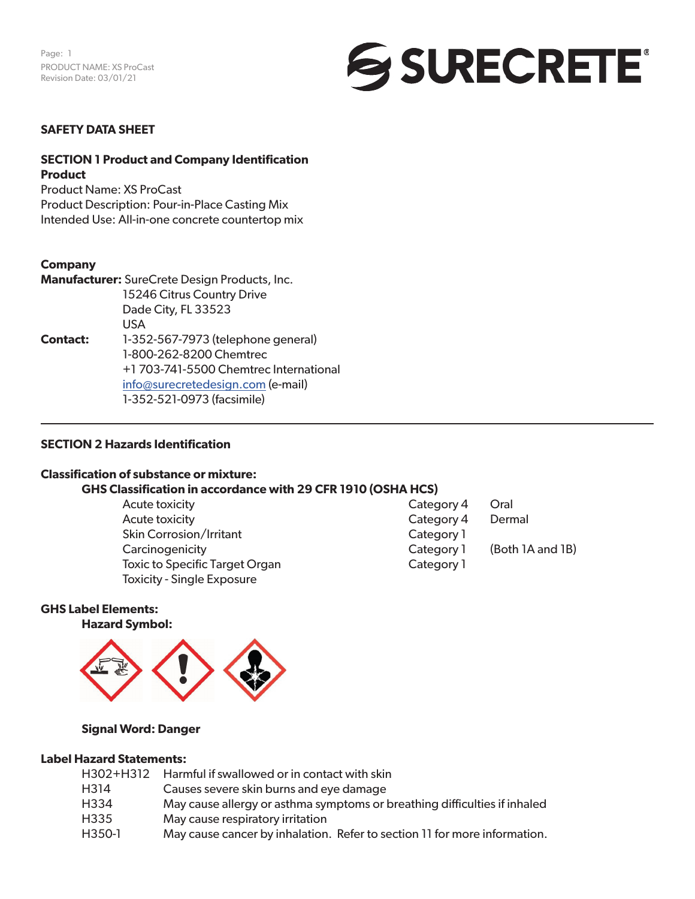

#### **SAFETY DATA SHEET**

#### **SECTION 1 Product and Company Identification Product**

Product Name: XS ProCast Product Description: Pour-in-Place Casting Mix Intended Use: All-in-one concrete countertop mix

#### **Company**

|                 | Manufacturer: SureCrete Design Products, Inc. |
|-----------------|-----------------------------------------------|
|                 | 15246 Citrus Country Drive                    |
|                 | Dade City, FL 33523                           |
|                 | USA.                                          |
| <b>Contact:</b> | 1-352-567-7973 (telephone general)            |
|                 | 1-800-262-8200 Chemtrec                       |
|                 | +1703-741-5500 Chemtrec International         |
|                 | info@surecretedesign.com (e-mail)             |
|                 | 1-352-521-0973 (facsimile)                    |

#### **SECTION 2 Hazards Identification**

#### **Classification of substance or mixture:**

#### **GHS Classification in accordance with 29 CFR 1910 (OSHA HCS)**

Acute toxicity **Category 4 Oral** Acute toxicity **Category 4** Dermal Skin Corrosion/Irritant Category 1 Carcinogenicity Carcinogenicity Category 1 (Both 1A and 1B) Toxic to Specific Target Organ Category 1 Toxicity - Single Exposure

#### **GHS Label Elements:**

**Hazard Symbol:** 



#### **Signal Word: Danger**

#### **Label Hazard Statements:**

|        | H302+H312 Harmful if swallowed or in contact with skin                    |
|--------|---------------------------------------------------------------------------|
| H314   | Causes severe skin burns and eye damage                                   |
| H334   | May cause allergy or asthma symptoms or breathing difficulties if inhaled |
| H335   | May cause respiratory irritation                                          |
| H350-1 | May cause cancer by inhalation. Refer to section 11 for more information. |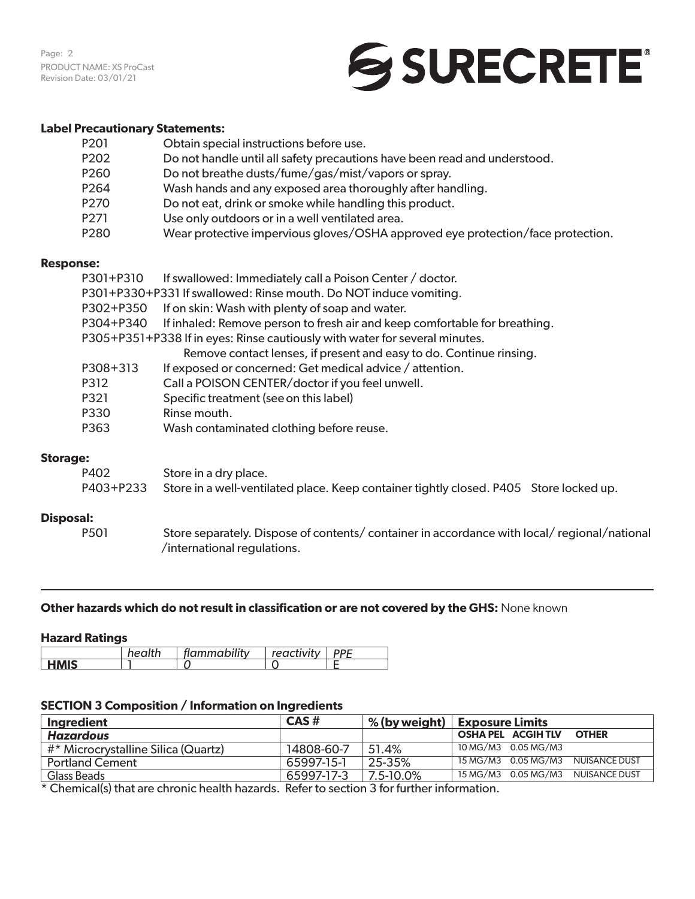Page: 2 PRODUCT NAME: XS ProCast Revision Date: 03/01/21

### SSURECRETE®

#### **Label Precautionary Statements:**

| P202<br>Do not handle until all safety precautions have been read and understood.<br>P260<br>Do not breathe dusts/fume/gas/mist/vapors or spray.<br>P264<br>Wash hands and any exposed area thoroughly after handling.<br>P270<br>Do not eat, drink or smoke while handling this product.<br>P271<br>Use only outdoors or in a well ventilated area.<br>P280 | P201 | Obtain special instructions before use.                                         |
|--------------------------------------------------------------------------------------------------------------------------------------------------------------------------------------------------------------------------------------------------------------------------------------------------------------------------------------------------------------|------|---------------------------------------------------------------------------------|
|                                                                                                                                                                                                                                                                                                                                                              |      |                                                                                 |
|                                                                                                                                                                                                                                                                                                                                                              |      |                                                                                 |
|                                                                                                                                                                                                                                                                                                                                                              |      |                                                                                 |
|                                                                                                                                                                                                                                                                                                                                                              |      |                                                                                 |
|                                                                                                                                                                                                                                                                                                                                                              |      |                                                                                 |
|                                                                                                                                                                                                                                                                                                                                                              |      | Wear protective impervious gloves/OSHA approved eye protection/face protection. |

#### **Response:**

| P301+P310 | If swallowed: Immediately call a Poison Center / doctor.                             |
|-----------|--------------------------------------------------------------------------------------|
|           | P301+P330+P331 If swallowed: Rinse mouth. Do NOT induce vomiting.                    |
| P302+P350 | If on skin: Wash with plenty of soap and water.                                      |
|           | P304+P340 If inhaled: Remove person to fresh air and keep comfortable for breathing. |
|           | P305+P351+P338 If in eyes: Rinse cautiously with water for several minutes.          |
|           | Remove contact lenses, if present and easy to do. Continue rinsing.                  |
| P308+313  | If exposed or concerned: Get medical advice / attention.                             |
| P312      | Call a POISON CENTER/doctor if you feel unwell.                                      |
| P321      | Specific treatment (see on this label)                                               |
| P330      | Rinse mouth.                                                                         |
| P363      | Wash contaminated clothing before reuse.                                             |

#### **Storage:**

| P402 | Store in a dry place.                                                                            |  |
|------|--------------------------------------------------------------------------------------------------|--|
|      | P403+P233 Store in a well-ventilated place. Keep container tightly closed. P405 Store locked up. |  |

#### **Disposal:**

P501 Store separately. Dispose of contents/ container in accordance with local/ regional/national /international regulations.

#### **Other hazards which do not result in classification or are not covered by the GHS:** None known

#### **Hazard Ratings**

|                     | <b>Andrian Propertion</b> | $\bullet$ .<br>ronri | $- -$<br>ייט |
|---------------------|---------------------------|----------------------|--------------|
|                     |                           |                      |              |
| <b>IRAIC</b><br>. . |                           |                      |              |

#### **SECTION 3 Composition / Information on Ingredients**

| Ingredient                          | $CAS \#$   |           | $\%$ (by weight) $\ $ Exposure Limits         |
|-------------------------------------|------------|-----------|-----------------------------------------------|
| Hazardous                           |            |           | <b>OSHA PEL ACGIHTLV</b><br><b>OTHER</b>      |
| #* Microcrystalline Silica (Quartz) | 14808-60-7 | 51.4%     | $\overline{10}$ MG/M3 $\overline{0.05}$ MG/M3 |
| <b>Portland Cement</b>              | 65997-15-1 | 25-35%    | 15 MG/M3 0.05 MG/M3 NUISANCE DUST             |
| Glass Beads                         | 65997-17-3 | 7.5-10.0% | $15\,\text{MG/M3}$ 0.05 MG/M3 NUISANCE DUST   |

 $\overline{\text{A}}$  Chemical(s) that are chronic health hazards. Refer to section 3 for further information.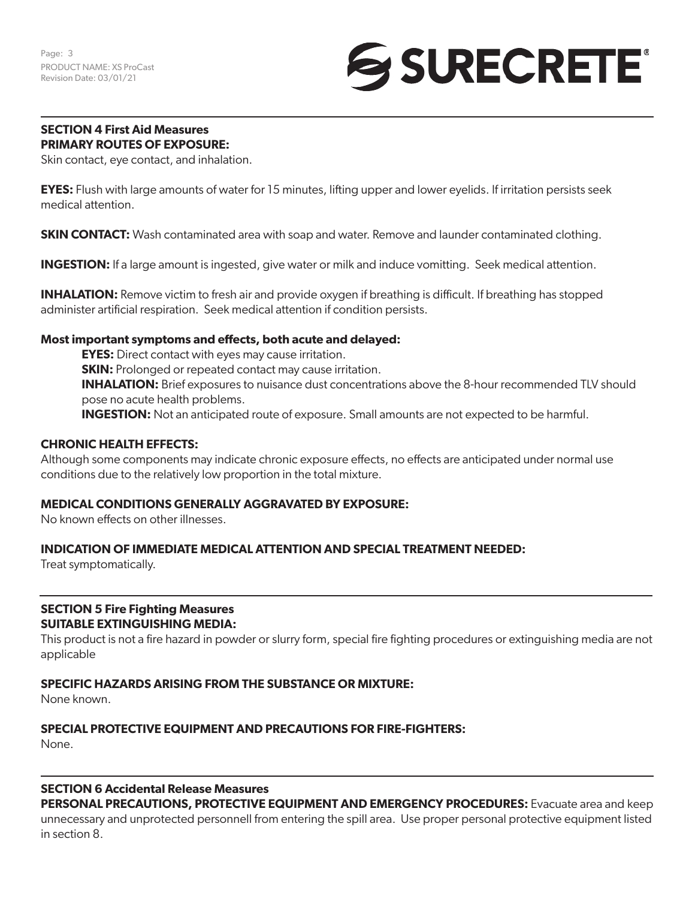## **SURECRETE**

#### **SECTION 4 First Aid Measures PRIMARY ROUTES OF EXPOSURE:**

Skin contact, eye contact, and inhalation.

**EYES:** Flush with large amounts of water for 15 minutes, lifting upper and lower eyelids. If irritation persists seek medical attention.

**SKIN CONTACT:** Wash contaminated area with soap and water. Remove and launder contaminated clothing.

**INGESTION:** If a large amount is ingested, give water or milk and induce vomitting. Seek medical attention.

**INHALATION:** Remove victim to fresh air and provide oxygen if breathing is difficult. If breathing has stopped administer artificial respiration. Seek medical attention if condition persists.

#### **Most important symptoms and effects, both acute and delayed:**

**EYES:** Direct contact with eyes may cause irritation. **SKIN:** Prolonged or repeated contact may cause irritation. **INHALATION:** Brief exposures to nuisance dust concentrations above the 8-hour recommended TLV should pose no acute health problems. **INGESTION:** Not an anticipated route of exposure. Small amounts are not expected to be harmful.

#### **CHRONIC HEALTH EFFECTS:**

Although some components may indicate chronic exposure effects, no effects are anticipated under normal use conditions due to the relatively low proportion in the total mixture.

#### **MEDICAL CONDITIONS GENERALLY AGGRAVATED BY EXPOSURE:**

No known effects on other illnesses.

#### **INDICATION OF IMMEDIATE MEDICAL ATTENTION AND SPECIAL TREATMENT NEEDED:**

Treat symptomatically.

#### **SECTION 5 Fire Fighting Measures SUITABLE EXTINGUISHING MEDIA:**

This product is not a fire hazard in powder or slurry form, special fire fighting procedures or extinguishing media are not applicable

#### **SPECIFIC HAZARDS ARISING FROM THE SUBSTANCE OR MIXTURE:**

None known.

#### **SPECIAL PROTECTIVE EQUIPMENT AND PRECAUTIONS FOR FIRE-FIGHTERS:**

None.

#### **SECTION 6 Accidental Release Measures**

**PERSONAL PRECAUTIONS, PROTECTIVE EQUIPMENT AND EMERGENCY PROCEDURES:** Evacuate area and keep unnecessary and unprotected personnell from entering the spill area. Use proper personal protective equipment listed in section 8.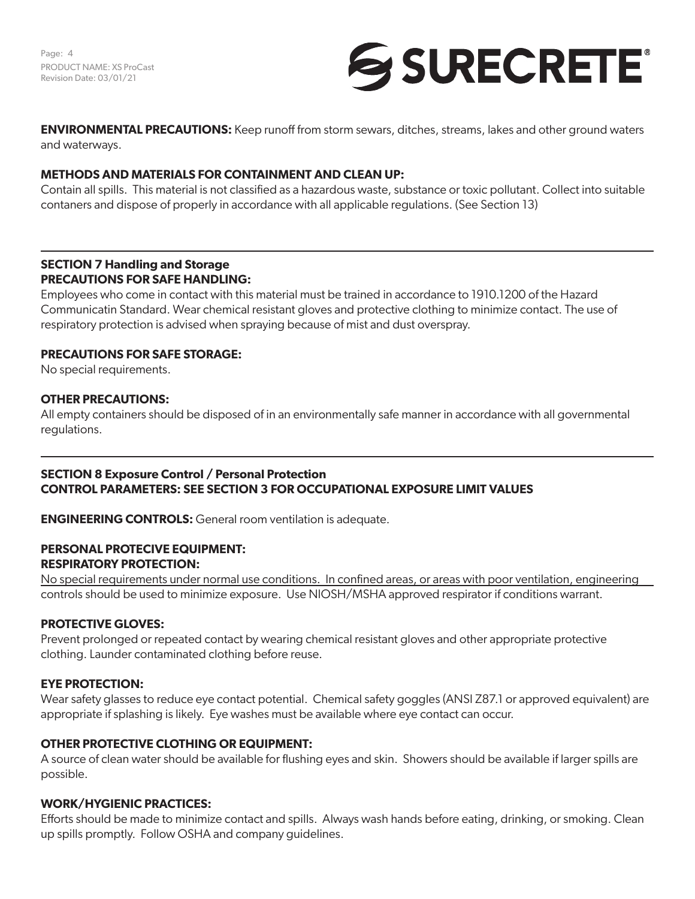Page: 4 PRODUCT NAME: XS ProCast Revision Date: 03/01/21



**ENVIRONMENTAL PRECAUTIONS:** Keep runoff from storm sewars, ditches, streams, lakes and other ground waters and waterways.

#### **METHODS AND MATERIALS FOR CONTAINMENT AND CLEAN UP:**

Contain all spills. This material is not classified as a hazardous waste, substance or toxic pollutant. Collect into suitable contaners and dispose of properly in accordance with all applicable regulations. (See Section 13)

#### **SECTION 7 Handling and Storage PRECAUTIONS FOR SAFE HANDLING:**

Employees who come in contact with this material must be trained in accordance to 1910.1200 of the Hazard Communicatin Standard. Wear chemical resistant gloves and protective clothing to minimize contact. The use of respiratory protection is advised when spraying because of mist and dust overspray.

#### **PRECAUTIONS FOR SAFE STORAGE:**

No special requirements.

#### **OTHER PRECAUTIONS:**

All empty containers should be disposed of in an environmentally safe manner in accordance with all governmental regulations.

#### **SECTION 8 Exposure Control / Personal Protection CONTROL PARAMETERS: SEE SECTION 3 FOR OCCUPATIONAL EXPOSURE LIMIT VALUES**

**ENGINEERING CONTROLS:** General room ventilation is adequate.

#### **PERSONAL PROTECIVE EQUIPMENT: RESPIRATORY PROTECTION:**

No special requirements under normal use conditions. In confined areas, or areas with poor ventilation, engineering controls should be used to minimize exposure. Use NIOSH/MSHA approved respirator if conditions warrant.

#### **PROTECTIVE GLOVES:**

Prevent prolonged or repeated contact by wearing chemical resistant gloves and other appropriate protective clothing. Launder contaminated clothing before reuse.

#### **EYE PROTECTION:**

Wear safety glasses to reduce eye contact potential. Chemical safety goggles (ANSI Z87.1 or approved equivalent) are appropriate if splashing is likely. Eye washes must be available where eye contact can occur.

#### **OTHER PROTECTIVE CLOTHING OR EQUIPMENT:**

A source of clean water should be available for flushing eyes and skin. Showers should be available if larger spills are possible.

#### **WORK/HYGIENIC PRACTICES:**

Efforts should be made to minimize contact and spills. Always wash hands before eating, drinking, or smoking. Clean up spills promptly. Follow OSHA and company guidelines.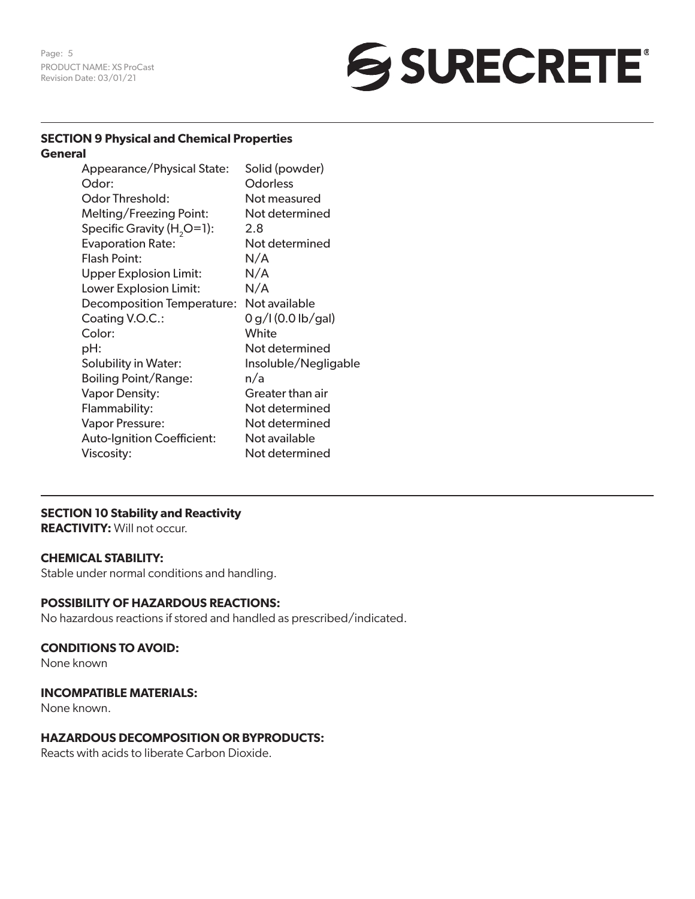Page: 5 PRODUCT NAME: XS ProCast Revision Date: 03/01/21

# SURECRETE®

#### **SECTION 9 Physical and Chemical Properties General**

| Appearance/Physical State:             | Solid (powder)       |
|----------------------------------------|----------------------|
| Odor:                                  | Odorless             |
| Odor Threshold:                        | Not measured         |
| Melting/Freezing Point:                | Not determined       |
| Specific Gravity (H <sub>2</sub> O=1): | 2.8                  |
| <b>Evaporation Rate:</b>               | Not determined       |
| <b>Flash Point:</b>                    | N/A                  |
| <b>Upper Explosion Limit:</b>          | N/A                  |
| Lower Explosion Limit:                 | N/A                  |
| <b>Decomposition Temperature:</b>      | Not available        |
| Coating V.O.C.:                        | 0 g/I (0.0 lb/gal)   |
| Color:                                 | White                |
| pH:                                    | Not determined       |
| Solubility in Water:                   | Insoluble/Negligable |
| <b>Boiling Point/Range:</b>            | n/a                  |
| <b>Vapor Density:</b>                  | Greater than air     |
| Flammability:                          | Not determined       |
| Vapor Pressure:                        | Not determined       |
| <b>Auto-Ignition Coefficient:</b>      | Not available        |
| Viscosity:                             | Not determined       |

#### **SECTION 10 Stability and Reactivity**

**REACTIVITY:** Will not occur.

#### **CHEMICAL STABILITY:**

Stable under normal conditions and handling.

#### **POSSIBILITY OF HAZARDOUS REACTIONS:**

No hazardous reactions if stored and handled as prescribed/indicated.

#### **CONDITIONS TO AVOID:**

None known

#### **INCOMPATIBLE MATERIALS:**

None known.

#### **HAZARDOUS DECOMPOSITION OR BYPRODUCTS:**

Reacts with acids to liberate Carbon Dioxide.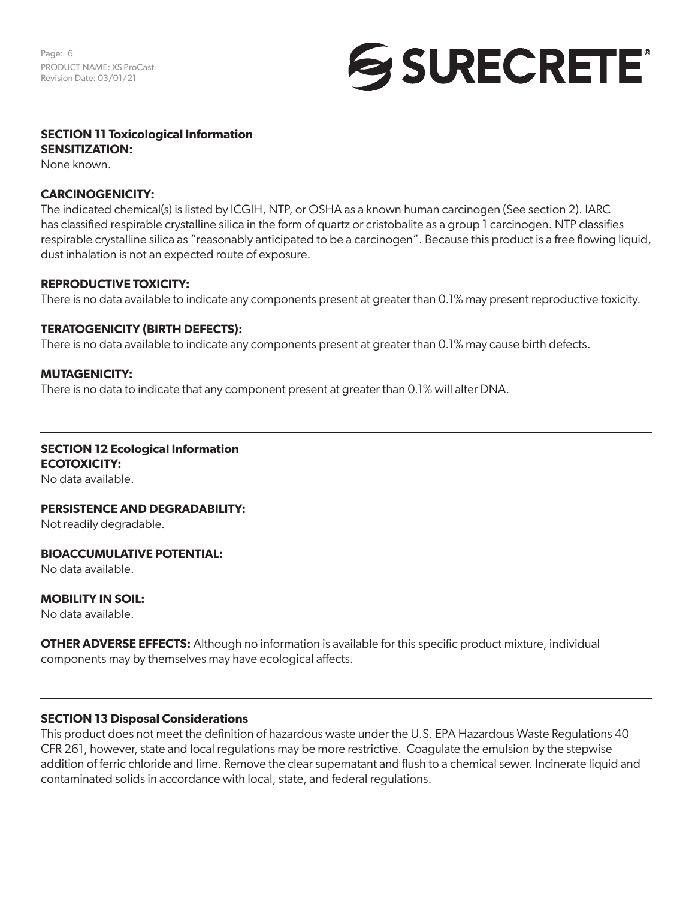Page: 6 PRODUCT NAME: XS ProCast Revision Date: 03/01/21



#### **SECTION 11 Toxicological Information SENSITIZATION:**

None known.

#### **CARCINOGENICITY:**

The indicated chemical(s) is listed by ICGIH, NTP, or OSHA as a known human carcinogen (See section 2). IARC has classified respirable crystalline silica in the form of quartz or cristobalite as a group 1 carcinogen. NTP classifies respirable crystalline silica as "reasonably anticipated to be a carcinogen". Because this product is a free flowing liquid, dust inhalation is not an expected route of exposure.

#### **REPRODUCTIVE TOXICITY:**

There is no data available to indicate any components present at greater than 0.1% may present reproductive toxicity.

#### **TERATOGENICITY (BIRTH DEFECTS):**

There is no data available to indicate any components present at greater than 0.1% may cause birth defects.

#### **MUTAGENICITY:**

There is no data to indicate that any component present at greater than 0.1% will alter DNA.

### **SECTION 12 Ecological Information**

**ECOTOXICITY:** No data available.

#### **PERSISTENCE AND DEGRADABILITY:**

Not readily degradable.

#### **BIOACCUMULATIVE POTENTIAL:**

No data available.

#### **MOBILITY IN SOIL:**

No data available.

**OTHER ADVERSE EFFECTS:** Although no information is available for this specific product mixture, individual components may by themselves may have ecological affects.

#### **SECTION 13 Disposal Considerations**

This product does not meet the definition of hazardous waste under the U.S. EPA Hazardous Waste Regulations 40 CFR 261, however, state and local regulations may be more restrictive. Coagulate the emulsion by the stepwise addition of ferric chloride and lime. Remove the clear supernatant and flush to a chemical sewer. Incinerate liquid and contaminated solids in accordance with local, state, and federal regulations.